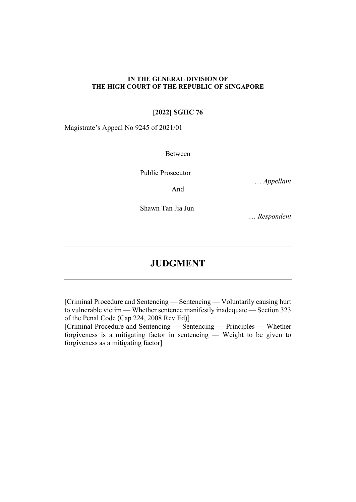### **IN THE GENERAL DIVISION OF THE HIGH COURT OF THE REPUBLIC OF SINGAPORE**

## **[2022] SGHC 76**

Magistrate's Appeal No 9245 of 2021/01

Between

Public Prosecutor

… *Appellant* 

And

Shawn Tan Jia Jun

… *Respondent*

# **JUDGMENT**

[Criminal Procedure and Sentencing — Sentencing — Voluntarily causing hurt to vulnerable victim — Whether sentence manifestly inadequate — Section 323 of the Penal Code (Cap 224, 2008 Rev Ed)]

[Criminal Procedure and Sentencing — Sentencing — Principles — Whether forgiveness is a mitigating factor in sentencing — Weight to be given to forgiveness as a mitigating factor]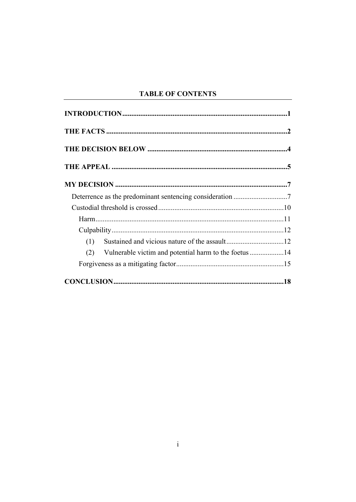# **TABLE OF CONTENTS**

| (1) |                                                       |  |
|-----|-------------------------------------------------------|--|
| (2) | Vulnerable victim and potential harm to the foetus 14 |  |
|     |                                                       |  |
|     |                                                       |  |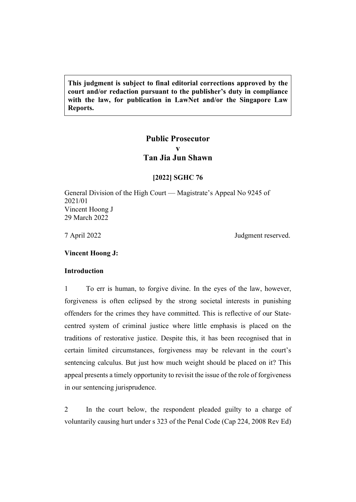**This judgment is subject to final editorial corrections approved by the court and/or redaction pursuant to the publisher's duty in compliance with the law, for publication in LawNet and/or the Singapore Law Reports.**

# **Public Prosecutor v Tan Jia Jun Shawn**

### **[2022] SGHC 76**

General Division of the High Court — Magistrate's Appeal No 9245 of 2021/01 Vincent Hoong J 29 March 2022

7 April 2022 Judgment reserved.

<span id="page-2-0"></span>**Vincent Hoong J:**

## **Introduction**

1 To err is human, to forgive divine. In the eyes of the law, however, forgiveness is often eclipsed by the strong societal interests in punishing offenders for the crimes they have committed. This is reflective of our Statecentred system of criminal justice where little emphasis is placed on the traditions of restorative justice. Despite this, it has been recognised that in certain limited circumstances, forgiveness may be relevant in the court's sentencing calculus. But just how much weight should be placed on it? This appeal presents a timely opportunity to revisit the issue of the role of forgiveness in our sentencing jurisprudence.

2 In the court below, the respondent pleaded guilty to a charge of voluntarily causing hurt under s 323 of the Penal Code (Cap 224, 2008 Rev Ed)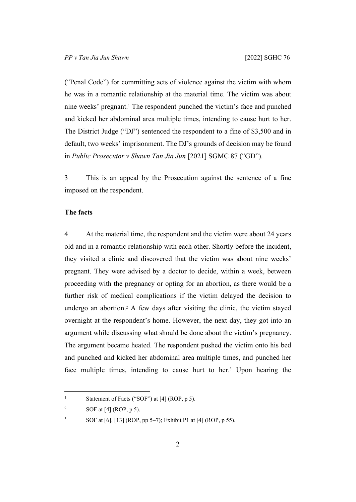("Penal Code") for committing acts of violence against the victim with whom he was in a romantic relationship at the material time. The victim was about nine weeks' pregnant.<sup>1</sup> The respondent punched the victim's face and punched and kicked her abdominal area multiple times, intending to cause hurt to her. The District Judge ("DJ") sentenced the respondent to a fine of \$3,500 and in default, two weeks' imprisonment. The DJ's grounds of decision may be found in *Public Prosecutor v Shawn Tan Jia Jun* [2021] SGMC 87 ("GD").

3 This is an appeal by the Prosecution against the sentence of a fine imposed on the respondent.

### <span id="page-3-0"></span>**The facts**

4 At the material time, the respondent and the victim were about 24 years old and in a romantic relationship with each other. Shortly before the incident, they visited a clinic and discovered that the victim was about nine weeks' pregnant. They were advised by a doctor to decide, within a week, between proceeding with the pregnancy or opting for an abortion, as there would be a further risk of medical complications if the victim delayed the decision to undergo an abortion.<sup>2</sup> A few days after visiting the clinic, the victim stayed overnight at the respondent's home. However, the next day, they got into an argument while discussing what should be done about the victim's pregnancy. The argument became heated. The respondent pushed the victim onto his bed and punched and kicked her abdominal area multiple times, and punched her face multiple times, intending to cause hurt to her.<sup>3</sup> Upon hearing the

<sup>1</sup> Statement of Facts ("SOF") at [4] (ROP, p 5).

<sup>2</sup> SOF at [4] (ROP, p 5).

<sup>3</sup> SOF at [6], [13] (ROP, pp 5–7); Exhibit P1 at [4] (ROP, p 55).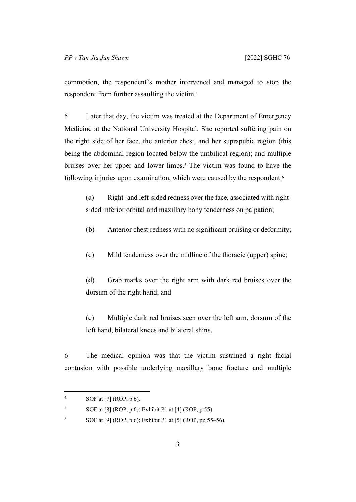commotion, the respondent's mother intervened and managed to stop the respondent from further assaulting the victim.<sup>4</sup>

5 Later that day, the victim was treated at the Department of Emergency Medicine at the National University Hospital. She reported suffering pain on the right side of her face, the anterior chest, and her suprapubic region (this being the abdominal region located below the umbilical region); and multiple bruises over her upper and lower limbs.<sup>5</sup> The victim was found to have the following injuries upon examination, which were caused by the respondent:<sup>6</sup>

(a) Right- and left-sided redness over the face, associated with rightsided inferior orbital and maxillary bony tenderness on palpation;

(b) Anterior chest redness with no significant bruising or deformity;

(c) Mild tenderness over the midline of the thoracic (upper) spine;

(d) Grab marks over the right arm with dark red bruises over the dorsum of the right hand; and

(e) Multiple dark red bruises seen over the left arm, dorsum of the left hand, bilateral knees and bilateral shins.

6 The medical opinion was that the victim sustained a right facial contusion with possible underlying maxillary bone fracture and multiple

<sup>4</sup> SOF at [7] (ROP, p 6).

<sup>5</sup> SOF at [8] (ROP, p 6); Exhibit P1 at [4] (ROP, p 55).

<sup>6</sup> SOF at [9] (ROP, p 6); Exhibit P1 at [5] (ROP, pp 55–56).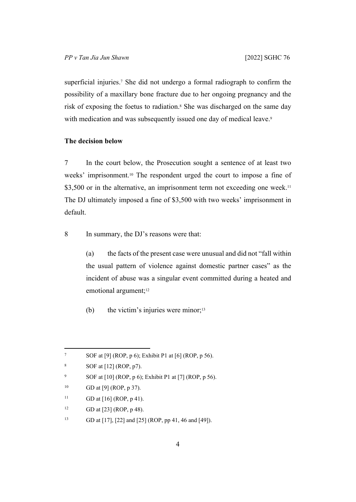superficial injuries.<sup>7</sup> She did not undergo a formal radiograph to confirm the possibility of a maxillary bone fracture due to her ongoing pregnancy and the risk of exposing the foetus to radiation.<sup>8</sup> She was discharged on the same day with medication and was subsequently issued one day of medical leave.<sup>9</sup>

### <span id="page-5-0"></span>**The decision below**

7 In the court below, the Prosecution sought a sentence of at least two weeks' imprisonment.10 The respondent urged the court to impose a fine of \$3,500 or in the alternative, an imprisonment term not exceeding one week.<sup>11</sup> The DJ ultimately imposed a fine of \$3,500 with two weeks' imprisonment in default.

8 In summary, the DJ's reasons were that:

(a) the facts of the present case were unusual and did not "fall within the usual pattern of violence against domestic partner cases" as the incident of abuse was a singular event committed during a heated and emotional argument;<sup>12</sup>

(b) the victim's injuries were minor; $13$ 

<sup>7</sup> SOF at [9] (ROP, p 6); Exhibit P1 at [6] (ROP, p 56).

<sup>8</sup> SOF at [12] (ROP, p7).

<sup>9</sup> SOF at [10] (ROP, p 6); Exhibit P1 at [7] (ROP, p 56).

<sup>&</sup>lt;sup>10</sup> GD at [9] (ROP, p 37).

<sup>&</sup>lt;sup>11</sup> GD at [16] (ROP, p 41).

<sup>&</sup>lt;sup>12</sup> GD at [23] (ROP, p 48).

<sup>13</sup> GD at [17], [22] and [25] (ROP, pp 41, 46 and [49]).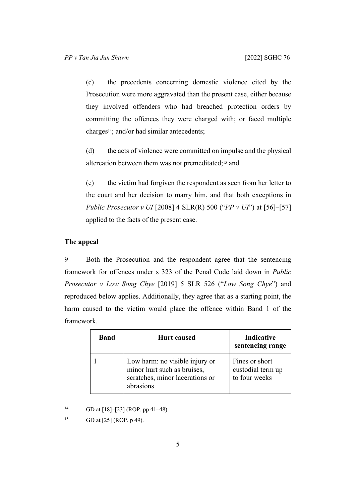(c) the precedents concerning domestic violence cited by the Prosecution were more aggravated than the present case, either because they involved offenders who had breached protection orders by committing the offences they were charged with; or faced multiple charges14; and/or had similar antecedents;

(d) the acts of violence were committed on impulse and the physical altercation between them was not premeditated;15 and

(e) the victim had forgiven the respondent as seen from her letter to the court and her decision to marry him, and that both exceptions in *Public Prosecutor v UI* [2008] 4 SLR(R) 500 ("*PP v UI*") at [56]–[57] applied to the facts of the present case.

# <span id="page-6-0"></span>**The appeal**

9 Both the Prosecution and the respondent agree that the sentencing framework for offences under s 323 of the Penal Code laid down in *Public Prosecutor v Low Song Chye* [2019] 5 SLR 526 ("*Low Song Chye*") and reproduced below applies. Additionally, they agree that as a starting point, the harm caused to the victim would place the offence within Band 1 of the framework.

| <b>Band</b> | <b>Hurt</b> caused                                                                                            | Indicative<br>sentencing range                       |
|-------------|---------------------------------------------------------------------------------------------------------------|------------------------------------------------------|
|             | Low harm: no visible injury or<br>minor hurt such as bruises,<br>scratches, minor lacerations or<br>abrasions | Fines or short<br>custodial term up<br>to four weeks |

<sup>&</sup>lt;sup>14</sup> GD at  $[18]$ – $[23]$  (ROP, pp 41–48).

<sup>15</sup> GD at [25] (ROP, p 49).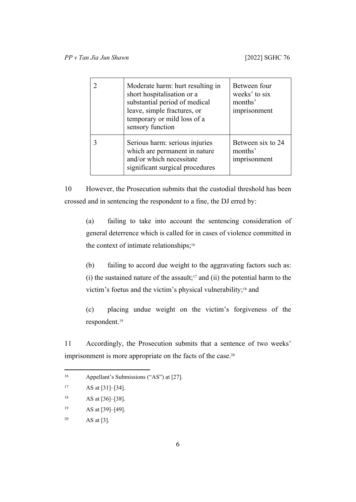| Moderate harm: hurt resulting in<br>short hospitalisation or a<br>substantial period of medical<br>leave, simple fractures, or<br>temporary or mild loss of a<br>sensory function | Between four<br>weeks' to six<br>months'<br>imprisonment |
|-----------------------------------------------------------------------------------------------------------------------------------------------------------------------------------|----------------------------------------------------------|
| Serious harm: serious injuries<br>which are permanent in nature<br>and/or which necessitate<br>significant surgical procedures                                                    | Between six to 24<br>months'<br>imprisonment             |

10 However, the Prosecution submits that the custodial threshold has been crossed and in sentencing the respondent to a fine, the DJ erred by:

(a) failing to take into account the sentencing consideration of general deterrence which is called for in cases of violence committed in the context of intimate relationships;<sup>16</sup>

(b) failing to accord due weight to the aggravating factors such as:  $(i)$  the sustained nature of the assault;<sup>17</sup> and  $(ii)$  the potential harm to the victim's foetus and the victim's physical vulnerability;<sup>18</sup> and

(c) placing undue weight on the victim's forgiveness of the respondent.<sup>19</sup>

11 Accordingly, the Prosecution submits that a sentence of two weeks' imprisonment is more appropriate on the facts of the case.<sup>20</sup>

<sup>16</sup> Appellant's Submissions ("AS") at [27].

 $17$  AS at [31]–[34].

<sup>&</sup>lt;sup>18</sup> AS at [36]-[38].

 $19$  AS at [39]–[49].

<sup>20</sup> AS at [3].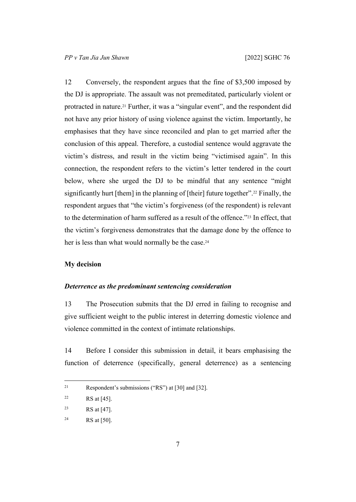12 Conversely, the respondent argues that the fine of \$3,500 imposed by the DJ is appropriate. The assault was not premeditated, particularly violent or protracted in nature.21 Further, it was a "singular event", and the respondent did not have any prior history of using violence against the victim. Importantly, he emphasises that they have since reconciled and plan to get married after the conclusion of this appeal. Therefore, a custodial sentence would aggravate the victim's distress, and result in the victim being "victimised again". In this connection, the respondent refers to the victim's letter tendered in the court below, where she urged the DJ to be mindful that any sentence "might significantly hurt [them] in the planning of [their] future together".22 Finally, the respondent argues that "the victim's forgiveness (of the respondent) is relevant to the determination of harm suffered as a result of the offence."23 In effect, that the victim's forgiveness demonstrates that the damage done by the offence to her is less than what would normally be the case.<sup>24</sup>

### <span id="page-8-0"></span>**My decision**

### <span id="page-8-1"></span>*Deterrence as the predominant sentencing consideration*

13 The Prosecution submits that the DJ erred in failing to recognise and give sufficient weight to the public interest in deterring domestic violence and violence committed in the context of intimate relationships.

14 Before I consider this submission in detail, it bears emphasising the function of deterrence (specifically, general deterrence) as a sentencing

<sup>21</sup> Respondent's submissions ("RS") at [30] and [32].

<sup>&</sup>lt;sup>22</sup> RS at [45].

<sup>&</sup>lt;sup>23</sup> RS at [47].

<sup>&</sup>lt;sup>24</sup> RS at [50].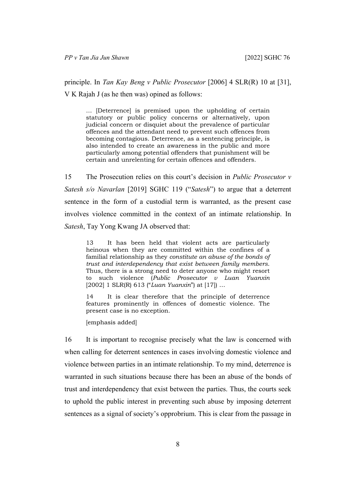principle. In *Tan Kay Beng v Public Prosecutor* [2006] 4 SLR(R) 10 at [31], V K Rajah J (as he then was) opined as follows:

… [Deterrence] is premised upon the upholding of certain statutory or public policy concerns or alternatively, upon judicial concern or disquiet about the prevalence of particular offences and the attendant need to prevent such offences from becoming contagious. Deterrence, as a sentencing principle, is also intended to create an awareness in the public and more particularly among potential offenders that punishment will be certain and unrelenting for certain offences and offenders.

<span id="page-9-0"></span>15 The Prosecution relies on this court's decision in *Public Prosecutor v Satesh s/o Navarlan* [2019] SGHC 119 ("*Satesh*") to argue that a deterrent sentence in the form of a custodial term is warranted, as the present case involves violence committed in the context of an intimate relationship. In *Satesh*, Tay Yong Kwang JA observed that:

13 It has been held that violent acts are particularly heinous when they are committed within the confines of a familial relationship as they *constitute an abuse of the bonds of trust and interdependency that exist between family members*. Thus, there is a strong need to deter anyone who might resort to such violence (*Public Prosecutor v Luan Yuanxin*  [2002] 1 SLR(R) 613 ("*Luan Yuanxin*") at [17]) …

14 It is clear therefore that the principle of deterrence features prominently in offences of domestic violence. The present case is no exception.

[emphasis added]

16 It is important to recognise precisely what the law is concerned with when calling for deterrent sentences in cases involving domestic violence and violence between parties in an intimate relationship. To my mind, deterrence is warranted in such situations because there has been an abuse of the bonds of trust and interdependency that exist between the parties. Thus, the courts seek to uphold the public interest in preventing such abuse by imposing deterrent sentences as a signal of society's opprobrium. This is clear from the passage in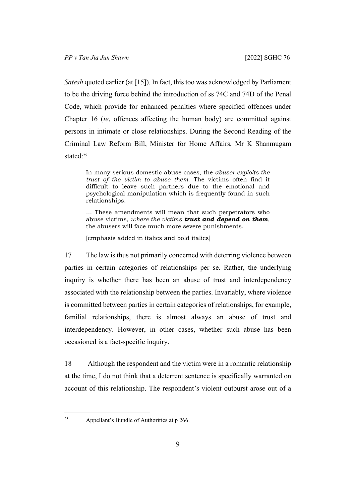*Satesh* quoted earlier (at [\[15](#page-9-0)]). In fact, this too was acknowledged by Parliament to be the driving force behind the introduction of ss 74C and 74D of the Penal Code, which provide for enhanced penalties where specified offences under Chapter 16 (*ie*, offences affecting the human body) are committed against persons in intimate or close relationships. During the Second Reading of the Criminal Law Reform Bill, Minister for Home Affairs, Mr K Shanmugam stated<sup>-25</sup>

In many serious domestic abuse cases, the *abuser exploits the trust of the victim to abuse them*. The victims often find it difficult to leave such partners due to the emotional and psychological manipulation which is frequently found in such relationships.

… These amendments will mean that such perpetrators who abuse victims, *where the victims trust and depend on them*, the abusers will face much more severe punishments.

[emphasis added in italics and bold italics]

17 The law is thus not primarily concerned with deterring violence between parties in certain categories of relationships per se. Rather, the underlying inquiry is whether there has been an abuse of trust and interdependency associated with the relationship between the parties. Invariably, where violence is committed between parties in certain categories of relationships, for example, familial relationships, there is almost always an abuse of trust and interdependency. However, in other cases, whether such abuse has been occasioned is a fact-specific inquiry.

18 Although the respondent and the victim were in a romantic relationship at the time, I do not think that a deterrent sentence is specifically warranted on account of this relationship. The respondent's violent outburst arose out of a

<sup>&</sup>lt;sup>25</sup> Appellant's Bundle of Authorities at  $p$  266.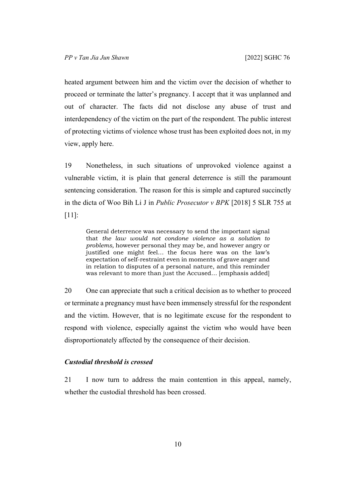heated argument between him and the victim over the decision of whether to proceed or terminate the latter's pregnancy. I accept that it was unplanned and out of character. The facts did not disclose any abuse of trust and interdependency of the victim on the part of the respondent. The public interest of protecting victims of violence whose trust has been exploited does not, in my view, apply here.

19 Nonetheless, in such situations of unprovoked violence against a vulnerable victim, it is plain that general deterrence is still the paramount sentencing consideration. The reason for this is simple and captured succinctly in the dicta of Woo Bih Li J in *Public Prosecutor v BPK* [2018] 5 SLR 755 at [11]:

General deterrence was necessary to send the important signal that *the law would not condone violence as a solution to problems,* however personal they may be, and however angry or justified one might feel… the focus here was on the law's expectation of self-restraint even in moments of grave anger and in relation to disputes of a personal nature, and this reminder was relevant to more than just the Accused… [emphasis added]

20 One can appreciate that such a critical decision as to whether to proceed or terminate a pregnancy must have been immensely stressful for the respondent and the victim. However, that is no legitimate excuse for the respondent to respond with violence, especially against the victim who would have been disproportionately affected by the consequence of their decision.

## <span id="page-11-0"></span>*Custodial threshold is crossed*

21 I now turn to address the main contention in this appeal, namely, whether the custodial threshold has been crossed.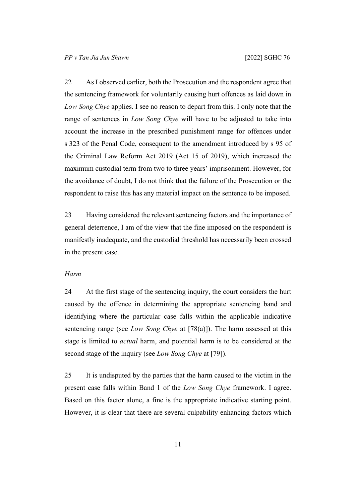22 As I observed earlier, both the Prosecution and the respondent agree that the sentencing framework for voluntarily causing hurt offences as laid down in *Low Song Chye* applies. I see no reason to depart from this. I only note that the range of sentences in *Low Song Chye* will have to be adjusted to take into account the increase in the prescribed punishment range for offences under s 323 of the Penal Code, consequent to the amendment introduced by s 95 of the Criminal Law Reform Act 2019 (Act 15 of 2019), which increased the maximum custodial term from two to three years' imprisonment. However, for the avoidance of doubt, I do not think that the failure of the Prosecution or the respondent to raise this has any material impact on the sentence to be imposed.

23 Having considered the relevant sentencing factors and the importance of general deterrence, I am of the view that the fine imposed on the respondent is manifestly inadequate, and the custodial threshold has necessarily been crossed in the present case.

### <span id="page-12-0"></span>*Harm*

24 At the first stage of the sentencing inquiry, the court considers the hurt caused by the offence in determining the appropriate sentencing band and identifying where the particular case falls within the applicable indicative sentencing range (see *Low Song Chye* at [78(a)]). The harm assessed at this stage is limited to *actual* harm, and potential harm is to be considered at the second stage of the inquiry (see *Low Song Chye* at [79]).

25 It is undisputed by the parties that the harm caused to the victim in the present case falls within Band 1 of the *Low Song Chye* framework. I agree. Based on this factor alone, a fine is the appropriate indicative starting point. However, it is clear that there are several culpability enhancing factors which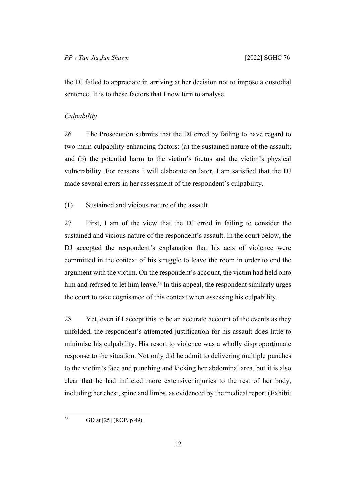the DJ failed to appreciate in arriving at her decision not to impose a custodial sentence. It is to these factors that I now turn to analyse.

#### <span id="page-13-0"></span>*Culpability*

26 The Prosecution submits that the DJ erred by failing to have regard to two main culpability enhancing factors: (a) the sustained nature of the assault; and (b) the potential harm to the victim's foetus and the victim's physical vulnerability. For reasons I will elaborate on later, I am satisfied that the DJ made several errors in her assessment of the respondent's culpability.

<span id="page-13-2"></span><span id="page-13-1"></span>(1) Sustained and vicious nature of the assault

27 First, I am of the view that the DJ erred in failing to consider the sustained and vicious nature of the respondent's assault. In the court below, the DJ accepted the respondent's explanation that his acts of violence were committed in the context of his struggle to leave the room in order to end the argument with the victim. On the respondent's account, the victim had held onto him and refused to let him leave.<sup>26</sup> In this appeal, the respondent similarly urges the court to take cognisance of this context when assessing his culpability.

28 Yet, even if I accept this to be an accurate account of the events as they unfolded, the respondent's attempted justification for his assault does little to minimise his culpability. His resort to violence was a wholly disproportionate response to the situation. Not only did he admit to delivering multiple punches to the victim's face and punching and kicking her abdominal area, but it is also clear that he had inflicted more extensive injuries to the rest of her body, including her chest, spine and limbs, as evidenced by the medical report (Exhibit

<sup>26</sup> GD at [25] (ROP, p 49).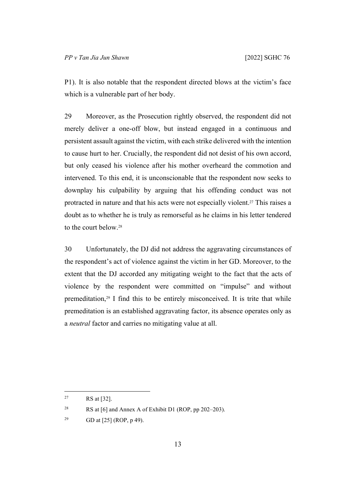P1). It is also notable that the respondent directed blows at the victim's face which is a vulnerable part of her body.

29 Moreover, as the Prosecution rightly observed, the respondent did not merely deliver a one-off blow, but instead engaged in a continuous and persistent assault against the victim, with each strike delivered with the intention to cause hurt to her. Crucially, the respondent did not desist of his own accord, but only ceased his violence after his mother overheard the commotion and intervened. To this end, it is unconscionable that the respondent now seeks to downplay his culpability by arguing that his offending conduct was not protracted in nature and that his acts were not especially violent.27 This raises a doubt as to whether he is truly as remorseful as he claims in his letter tendered to the court below.<sup>28</sup>

30 Unfortunately, the DJ did not address the aggravating circumstances of the respondent's act of violence against the victim in her GD. Moreover, to the extent that the DJ accorded any mitigating weight to the fact that the acts of violence by the respondent were committed on "impulse" and without premeditation,29 I find this to be entirely misconceived. It is trite that while premeditation is an established aggravating factor, its absence operates only as a *neutral* factor and carries no mitigating value at all.

<sup>27</sup> RS at [32].

<sup>&</sup>lt;sup>28</sup> RS at [6] and Annex A of Exhibit D1 (ROP, pp 202–203).

<sup>&</sup>lt;sup>29</sup> GD at [25] (ROP, p 49).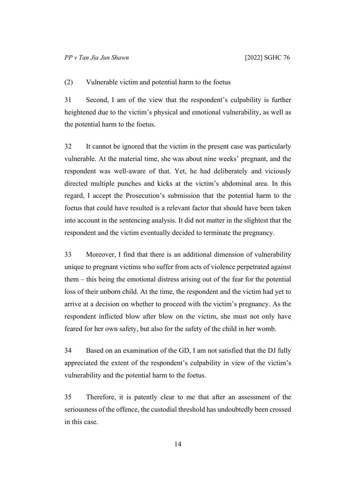<span id="page-15-0"></span>(2) Vulnerable victim and potential harm to the foetus

31 Second, I am of the view that the respondent's culpability is further heightened due to the victim's physical and emotional vulnerability, as well as the potential harm to the foetus.

32 It cannot be ignored that the victim in the present case was particularly vulnerable. At the material time, she was about nine weeks' pregnant, and the respondent was well-aware of that. Yet, he had deliberately and viciously directed multiple punches and kicks at the victim's abdominal area. In this regard, I accept the Prosecution's submission that the potential harm to the foetus that could have resulted is a relevant factor that should have been taken into account in the sentencing analysis. It did not matter in the slightest that the respondent and the victim eventually decided to terminate the pregnancy.

33 Moreover, I find that there is an additional dimension of vulnerability unique to pregnant victims who suffer from acts of violence perpetrated against them – this being the emotional distress arising out of the fear for the potential loss of their unborn child. At the time, the respondent and the victim had yet to arrive at a decision on whether to proceed with the victim's pregnancy. As the respondent inflicted blow after blow on the victim, she must not only have feared for her own safety, but also for the safety of the child in her womb.

34 Based on an examination of the GD, I am not satisfied that the DJ fully appreciated the extent of the respondent's culpability in view of the victim's vulnerability and the potential harm to the foetus.

<span id="page-15-1"></span>35 Therefore, it is patently clear to me that after an assessment of the seriousness of the offence, the custodial threshold has undoubtedly been crossed in this case.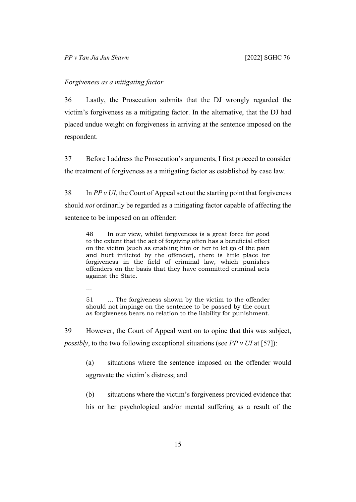### <span id="page-16-0"></span>*Forgiveness as a mitigating factor*

36 Lastly, the Prosecution submits that the DJ wrongly regarded the victim's forgiveness as a mitigating factor. In the alternative, that the DJ had placed undue weight on forgiveness in arriving at the sentence imposed on the respondent.

37 Before I address the Prosecution's arguments, I first proceed to consider the treatment of forgiveness as a mitigating factor as established by case law.

38 In *PP v UI*, the Court of Appeal set out the starting point that forgiveness should *not* ordinarily be regarded as a mitigating factor capable of affecting the sentence to be imposed on an offender:

48 In our view, whilst forgiveness is a great force for good to the extent that the act of forgiving often has a beneficial effect on the victim (such as enabling him or her to let go of the pain and hurt inflicted by the offender), there is little place for forgiveness in the field of criminal law, which punishes offenders on the basis that they have committed criminal acts against the State.

…

51 … The forgiveness shown by the victim to the offender should not impinge on the sentence to be passed by the court as forgiveness bears no relation to the liability for punishment.

39 However, the Court of Appeal went on to opine that this was subject, *possibly*, to the two following exceptional situations (see *PP v UI* at [57]):

(a) situations where the sentence imposed on the offender would aggravate the victim's distress; and

(b) situations where the victim's forgiveness provided evidence that his or her psychological and/or mental suffering as a result of the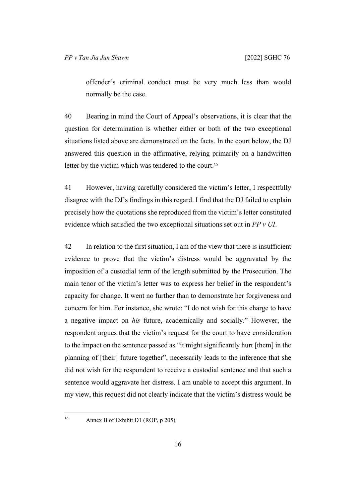offender's criminal conduct must be very much less than would normally be the case.

40 Bearing in mind the Court of Appeal's observations, it is clear that the question for determination is whether either or both of the two exceptional situations listed above are demonstrated on the facts. In the court below, the DJ answered this question in the affirmative, relying primarily on a handwritten letter by the victim which was tendered to the court.<sup>30</sup>

41 However, having carefully considered the victim's letter, I respectfully disagree with the DJ's findings in this regard. I find that the DJ failed to explain precisely how the quotations she reproduced from the victim's letter constituted evidence which satisfied the two exceptional situations set out in *PP v UI*.

42 In relation to the first situation, I am of the view that there is insufficient evidence to prove that the victim's distress would be aggravated by the imposition of a custodial term of the length submitted by the Prosecution. The main tenor of the victim's letter was to express her belief in the respondent's capacity for change. It went no further than to demonstrate her forgiveness and concern for him. For instance, she wrote: "I do not wish for this charge to have a negative impact on *his* future, academically and socially." However, the respondent argues that the victim's request for the court to have consideration to the impact on the sentence passed as "it might significantly hurt [them] in the planning of [their] future together", necessarily leads to the inference that she did not wish for the respondent to receive a custodial sentence and that such a sentence would aggravate her distress. I am unable to accept this argument. In my view, this request did not clearly indicate that the victim's distress would be

<sup>30</sup> Annex B of Exhibit D1 (ROP, p 205).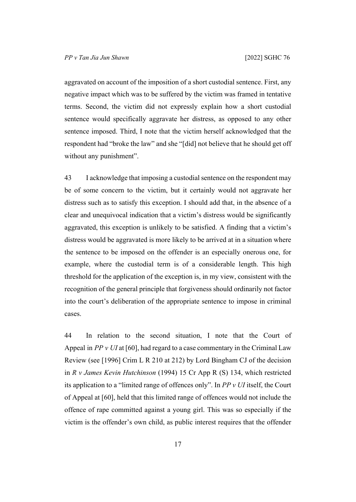aggravated on account of the imposition of a short custodial sentence. First, any negative impact which was to be suffered by the victim was framed in tentative terms. Second, the victim did not expressly explain how a short custodial sentence would specifically aggravate her distress, as opposed to any other sentence imposed. Third, I note that the victim herself acknowledged that the respondent had "broke the law" and she "[did] not believe that he should get off without any punishment".

43 I acknowledge that imposing a custodial sentence on the respondent may be of some concern to the victim, but it certainly would not aggravate her distress such as to satisfy this exception. I should add that, in the absence of a clear and unequivocal indication that a victim's distress would be significantly aggravated, this exception is unlikely to be satisfied. A finding that a victim's distress would be aggravated is more likely to be arrived at in a situation where the sentence to be imposed on the offender is an especially onerous one, for example, where the custodial term is of a considerable length. This high threshold for the application of the exception is, in my view, consistent with the recognition of the general principle that forgiveness should ordinarily not factor into the court's deliberation of the appropriate sentence to impose in criminal cases.

44 In relation to the second situation, I note that the Court of Appeal in *PP v UI* at [60], had regard to a case commentary in the Criminal Law Review (see [1996] Crim L R 210 at 212) by Lord Bingham CJ of the decision in *R v James Kevin Hutchinson* (1994) 15 Cr App R (S) 134, which restricted its application to a "limited range of offences only". In *PP v UI* itself, the Court of Appeal at [60], held that this limited range of offences would not include the offence of rape committed against a young girl. This was so especially if the victim is the offender's own child, as public interest requires that the offender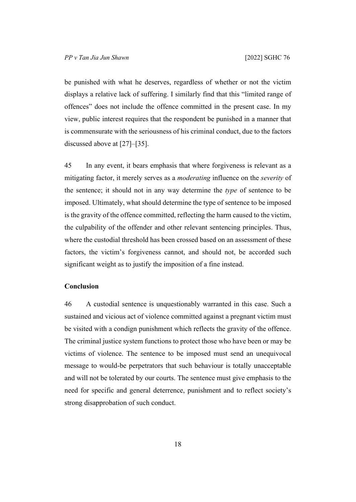be punished with what he deserves, regardless of whether or not the victim displays a relative lack of suffering. I similarly find that this "limited range of offences" does not include the offence committed in the present case. In my view, public interest requires that the respondent be punished in a manner that is commensurate with the seriousness of his criminal conduct, due to the factors discussed above at [\[27](#page-13-2)]–[\[35](#page-15-1)].

45 In any event, it bears emphasis that where forgiveness is relevant as a mitigating factor, it merely serves as a *moderating* influence on the *severity* of the sentence; it should not in any way determine the *type* of sentence to be imposed. Ultimately, what should determine the type of sentence to be imposed is the gravity of the offence committed, reflecting the harm caused to the victim, the culpability of the offender and other relevant sentencing principles. Thus, where the custodial threshold has been crossed based on an assessment of these factors, the victim's forgiveness cannot, and should not, be accorded such significant weight as to justify the imposition of a fine instead.

### <span id="page-19-0"></span>**Conclusion**

46 A custodial sentence is unquestionably warranted in this case. Such a sustained and vicious act of violence committed against a pregnant victim must be visited with a condign punishment which reflects the gravity of the offence. The criminal justice system functions to protect those who have been or may be victims of violence. The sentence to be imposed must send an unequivocal message to would-be perpetrators that such behaviour is totally unacceptable and will not be tolerated by our courts. The sentence must give emphasis to the need for specific and general deterrence, punishment and to reflect society's strong disapprobation of such conduct.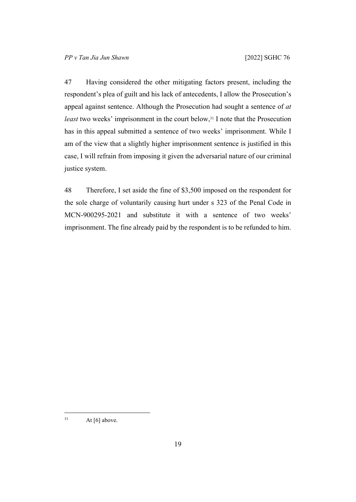47 Having considered the other mitigating factors present, including the respondent's plea of guilt and his lack of antecedents, I allow the Prosecution's appeal against sentence. Although the Prosecution had sought a sentence of *at least* two weeks' imprisonment in the court below,<sup>31</sup> I note that the Prosecution has in this appeal submitted a sentence of two weeks' imprisonment. While I am of the view that a slightly higher imprisonment sentence is justified in this case, I will refrain from imposing it given the adversarial nature of our criminal justice system.

48 Therefore, I set aside the fine of \$3,500 imposed on the respondent for the sole charge of voluntarily causing hurt under s 323 of the Penal Code in MCN-900295-2021 and substitute it with a sentence of two weeks' imprisonment. The fine already paid by the respondent is to be refunded to him.

 $31$  At [6] above.